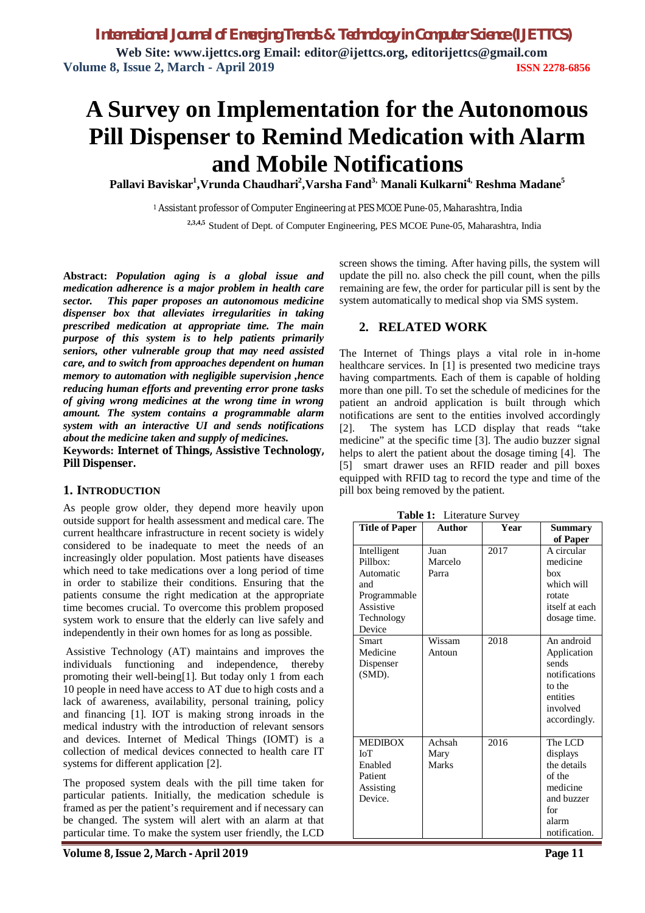# **A Survey on Implementation for the Autonomous Pill Dispenser to Remind Medication with Alarm and Mobile Notifications**

**Pallavi Baviskar<sup>1</sup> ,Vrunda Chaudhari<sup>2</sup> ,Varsha Fand3, Manali Kulkarni4, Reshma Madane<sup>5</sup>**

<sup>1</sup>Assistant professor of Computer Engineering at PES MCOE Pune-05, Maharashtra, India  **2,3,4,5** Student of Dept. of Computer Engineering, PES MCOE Pune-05, Maharashtra, India

**Abstract:** *Population aging is a global issue and medication adherence is a major problem in health care sector. This paper proposes an autonomous medicine dispenser box that alleviates irregularities in taking prescribed medication at appropriate time. The main purpose of this system is to help patients primarily seniors, other vulnerable group that may need assisted care, and to switch from approaches dependent on human memory to automation with negligible supervision ,hence reducing human efforts and preventing error prone tasks of giving wrong medicines at the wrong time in wrong amount. The system contains a programmable alarm system with an interactive UI and sends notifications about the medicine taken and supply of medicines.*

**Keywords: Internet of Things, Assistive Technology, Pill Dispenser.**

#### **1. INTRODUCTION**

As people grow older, they depend more heavily upon outside support for health assessment and medical care. The current healthcare infrastructure in recent society is widely considered to be inadequate to meet the needs of an increasingly older population. Most patients have diseases which need to take medications over a long period of time in order to stabilize their conditions. Ensuring that the patients consume the right medication at the appropriate time becomes crucial. To overcome this problem proposed system work to ensure that the elderly can live safely and independently in their own homes for as long as possible.

Assistive Technology (AT) maintains and improves the individuals functioning and independence, thereby promoting their well-being[1]. But today only 1 from each 10 people in need have access to AT due to high costs and a lack of awareness, availability, personal training, policy and financing [1]. IOT is making strong inroads in the medical industry with the introduction of relevant sensors and devices. Internet of Medical Things (IOMT) is a collection of medical devices connected to health care IT systems for different application [2].

The proposed system deals with the pill time taken for particular patients. Initially, the medication schedule is framed as per the patient's requirement and if necessary can be changed. The system will alert with an alarm at that particular time. To make the system user friendly, the LCD

screen shows the timing. After having pills, the system will update the pill no. also check the pill count, when the pills remaining are few, the order for particular pill is sent by the system automatically to medical shop via SMS system.

#### **2. RELATED WORK**

The Internet of Things plays a vital role in in-home healthcare services. In [1] is presented two medicine trays having compartments. Each of them is capable of holding more than one pill. To set the schedule of medicines for the patient an android application is built through which notifications are sent to the entities involved accordingly [2]. The system has LCD display that reads "take medicine" at the specific time [3]. The audio buzzer signal helps to alert the patient about the dosage timing [4]. The [5] smart drawer uses an RFID reader and pill boxes equipped with RFID tag to record the type and time of the pill box being removed by the patient.

**Table 1:** Literature Survey **Title of Paper Author Year Summary of Paper** Intelligent  $P_{i}$ ll $h(x)$ Automatic and Programmable Assistive Technology Device Juan Marcelo Parra 2017 A circular medicine box which will rotate itself at each dosage time. Smart Medicine Dispenser (SMD). Wissam Antoun 2018 An android Application sends notifications to the entities involved accordingly. MEDIBOX IoT Enabled Patient Assisting Device. Achsah Mary Marks 2016 The LCD displays the details of the medicine and buzzer for alarm notification.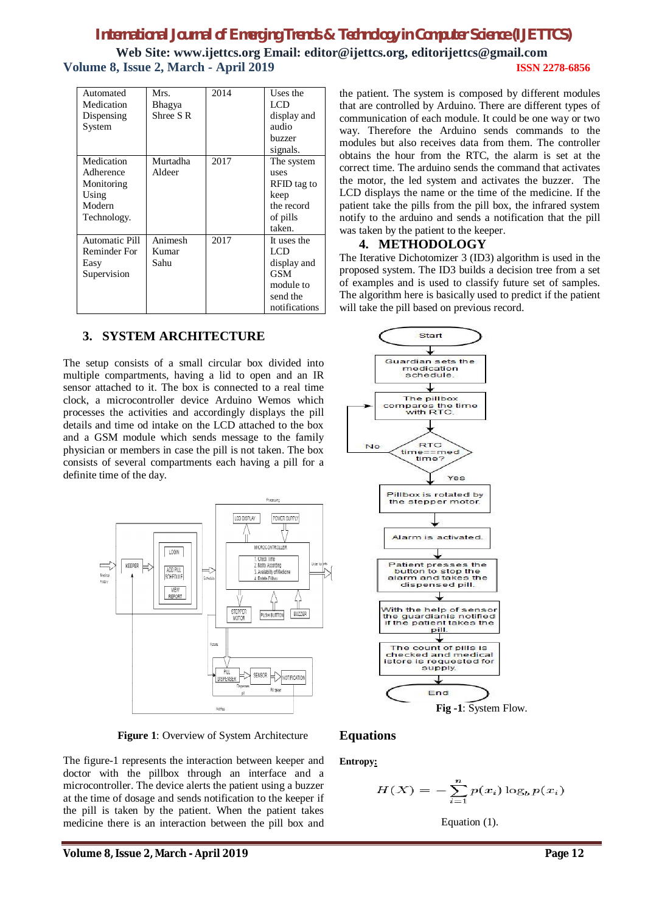# *International Journal of Emerging Trends & Technology in Computer Science (IJETTCS)* **Web Site: www.ijettcs.org Email: editor@ijettcs.org, editorijettcs@gmail.com Volume 8, Issue 2, March - April 2019 ISSN 2278-6856**

| Automated<br>Medication<br>Dispensing<br>System                         | Mrs.<br>Bhagya<br>Shree S <sub>R</sub> | 2014 | Uses the<br>LCD<br>display and<br>audio<br>buzzer<br>signals.                      |
|-------------------------------------------------------------------------|----------------------------------------|------|------------------------------------------------------------------------------------|
| Medication<br>Adherence<br>Monitoring<br>Using<br>Modern<br>Technology. | Murtadha<br>Aldeer                     | 2017 | The system<br>uses<br>RFID tag to<br>keep<br>the record<br>of pills<br>taken.      |
| <b>Automatic Pill</b><br>Reminder For<br>Easy<br>Supervision            | Animesh<br>Kumar<br>Sahu               | 2017 | It uses the<br>LCD<br>display and<br>GSM<br>module to<br>send the<br>notifications |

### **3. SYSTEM ARCHITECTURE**

The setup consists of a small circular box divided into multiple compartments, having a lid to open and an IR sensor attached to it. The box is connected to a real time clock, a microcontroller device Arduino Wemos which processes the activities and accordingly displays the pill details and time od intake on the LCD attached to the box and a GSM module which sends message to the family physician or members in case the pill is not taken. The box consists of several compartments each having a pill for a definite time of the day.



 **Figure 1**: Overview of System Architecture

The figure-1 represents the interaction between keeper and doctor with the pillbox through an interface and a microcontroller. The device alerts the patient using a buzzer at the time of dosage and sends notification to the keeper if the pill is taken by the patient. When the patient takes medicine there is an interaction between the pill box and

the patient. The system is composed by different modules that are controlled by Arduino. There are different types of communication of each module. It could be one way or two way. Therefore the Arduino sends commands to the modules but also receives data from them. The controller obtains the hour from the RTC, the alarm is set at the correct time. The arduino sends the command that activates the motor, the led system and activates the buzzer. The LCD displays the name or the time of the medicine. If the patient take the pills from the pill box, the infrared system notify to the arduino and sends a notification that the pill was taken by the patient to the keeper.

#### **4. METHODOLOGY**

The Iterative Dichotomizer 3 (ID3) algorithm is used in the proposed system. The ID3 builds a decision tree from a set of examples and is used to classify future set of samples. The algorithm here is basically used to predict if the patient will take the pill based on previous record.



#### **Equations**

**Entropy:**

$$
H(X) = -\sum_{i=1}^{n} p(x_i) \log_b p(x_i)
$$

Equation (1).